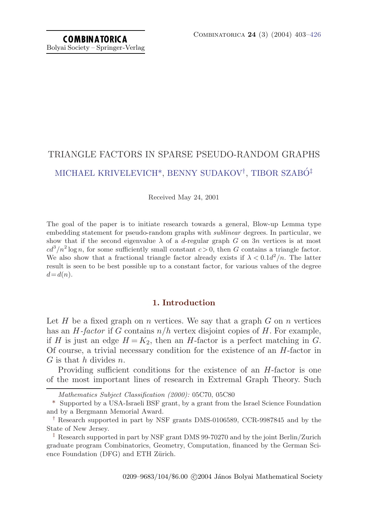# TRIANGLE FACTORS IN SPARSE PSEUDO-RANDOM GRAPHS [MICHAEL KRIVELEVICH](#page-23-0)\*, [BENNY SUDAKOV](#page-23-0)<sup>†</sup>, TIBOR SZABÓ<sup>‡</sup>

Received May 24, 2001

The goal of the paper is to initiate research towards a general, Blow-up Lemma type embedding statement for pseudo-random graphs with sublinear degrees. In particular, we show that if the second eigenvalue  $\lambda$  of a d-regular graph G on 3n vertices is at most  $cd^3/n^2 \log n$ , for some sufficiently small constant  $c > 0$ , then G contains a triangle factor. We also show that a fractional triangle factor already exists if  $\lambda < 0.1d^2/n$ . The latter result is seen to be best possible up to a constant factor, for various values of the degree  $d=d(n).$ 

# **1. Introduction**

Let  $H$  be a fixed graph on n vertices. We say that a graph  $G$  on n vertices has an  $H$ -factor if G contains  $n/h$  vertex disjoint copies of H. For example, if H is just an edge  $H = K_2$ , then an H-factor is a perfect matching in G. Of course, a trivial necessary condition for the existence of an H-factor in  $G$  is that  $h$  divides  $n$ .

Providing sufficient conditions for the existence of an H-factor is one of the most important lines of research in Extremal Graph Theory. Such

Mathematics Subject Classification (2000): 05C70, 05C80

<sup>\*</sup> Supported by a USA-Israeli BSF grant, by a grant from the Israel Science Foundation and by a Bergmann Memorial Award.

<sup>†</sup> Research supported in part by NSF grants DMS-0106589, CCR-9987845 and by the State of New Jersey.

<sup>‡</sup> Research supported in part by NSF grant DMS 99-70270 and by the joint Berlin/Zurich graduate program Combinatorics, Geometry, Computation, financed by the German Science Foundation (DFG) and ETH Zürich.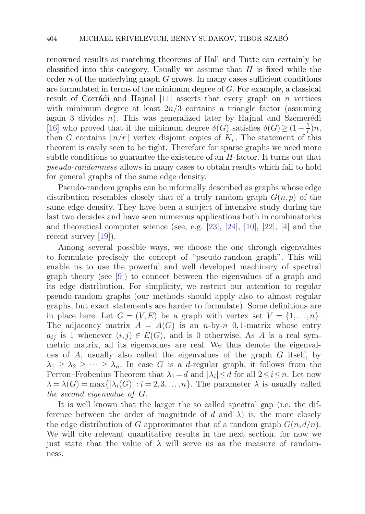renowned results as matching theorems of Hall and Tutte can certainly be classified into this category. Usually we assume that  $H$  is fixed while the order n of the underlying graph  $G$  grows. In many cases sufficient conditions are formulated in terms of the minimum degree of G. For example, a classical result of Corrádi and Hajnal  $[11]$  asserts that every graph on n vertices with minimum degree at least  $2n/3$  contains a triangle factor (assuming again 3 divides  $n$ ). This was generalized later by Hajnal and Szemerédi [[16\]](#page-21-0) who proved that if the minimum degree  $\delta(G)$  satisfies  $\delta(G) \geq (1 - \frac{1}{r})n$ , then G contains  $n/r$  vertex disjoint copies of  $K_r$ . The statement of this theorem is easily seen to be tight. Therefore for sparse graphs we need more subtle conditions to guarantee the existence of an H-factor. It turns out that pseudo-randomness allows in many cases to obtain results which fail to hold for general graphs of the same edge density.

Pseudo-random graphs can be informally described as graphs whose edge distribution resembles closely that of a truly random graph  $G(n, p)$  of the same edge density. They have been a subject of intensive study during the last two decades and have seen numerous applications both in combinatorics and theoretical computer science (see, e.g. [[23](#page-21-0)], [[24\]](#page-21-0), [\[10\]](#page-20-0), [\[22](#page-21-0)], [[4](#page-20-0)] and the recent survey [\[19](#page-21-0)]).

Among several possible ways, we choose the one through eigenvalues to formulate precisely the concept of "pseudo-random graph". This will enable us to use the powerful and well developed machinery of spectral graph theory (see [[9](#page-20-0)]) to connect between the eigenvalues of a graph and its edge distribution. For simplicity, we restrict our attention to regular pseudo-random graphs (our methods should apply also to almost regular graphs, but exact statements are harder to formulate). Some definitions are in place here. Let  $G = (V, E)$  be a graph with vertex set  $V = \{1, \ldots, n\}.$ The adjacency matrix  $A = A(G)$  is an n-by-n 0,1-matrix whose entry  $a_{ij}$  is 1 whenever  $(i, j) \in E(G)$ , and is 0 otherwise. As A is a real symmetric matrix, all its eigenvalues are real. We thus denote the eigenvalues of  $A$ , usually also called the eigenvalues of the graph  $G$  itself, by  $\lambda_1 \geq \lambda_2 \geq \cdots \geq \lambda_n$ . In case G is a d-regular graph, it follows from the Perron–Frobenius Theorem that  $\lambda_1 = d$  and  $|\lambda_i| \leq d$  for all  $2 \leq i \leq n$ . Let now  $\lambda = \lambda(G) = \max\{|\lambda_i(G)| : i = 2, 3, ..., n\}$ . The parameter  $\lambda$  is usually called the second eigenvalue of G.

It is well known that the larger the so called spectral gap (i.e. the difference between the order of magnitude of d and  $\lambda$ ) is, the more closely the edge distribution of G approximates that of a random graph  $G(n, d/n)$ . We will cite relevant quantitative results in the next section, for now we just state that the value of  $\lambda$  will serve us as the measure of randomness.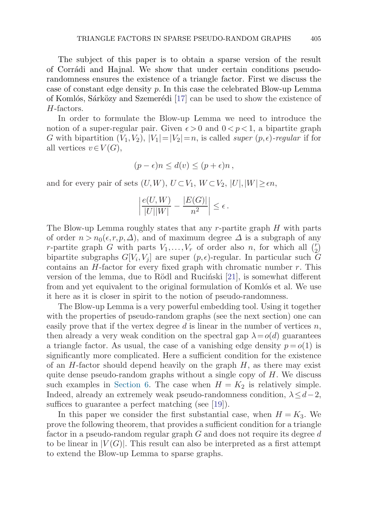The subject of this paper is to obtain a sparse version of the result of Corrádi and Hajnal. We show that under certain conditions pseudorandomness ensures the existence of a triangle factor. First we discuss the case of constant edge density  $p$ . In this case the celebrated Blow-up Lemma of Komlós, Sárközy and Szemerédi [[17](#page-21-0)] can be used to show the existence of H-factors.

In order to formulate the Blow-up Lemma we need to introduce the notion of a super-regular pair. Given  $\epsilon > 0$  and  $0 < p < 1$ , a bipartite graph G with bipartition  $(V_1, V_2)$ ,  $|V_1| = |V_2| = n$ , is called *super*  $(p, \epsilon)$ -regular if for all vertices  $v \in V(G)$ ,

$$
(p - \epsilon)n \le d(v) \le (p + \epsilon)n,
$$

and for every pair of sets  $(U, W)$ ,  $U \subset V_1$ ,  $W \subset V_2$ ,  $|U|, |W| \geq \epsilon n$ ,

$$
\left|\frac{e(U,W)}{|U||W|} - \frac{|E(G)|}{n^2}\right| \le \epsilon.
$$

The Blow-up Lemma roughly states that any  $r$ -partite graph  $H$  with parts of order  $n > n_0(\epsilon, r, p, \Delta)$ , and of maximum degree  $\Delta$  is a subgraph of any r-partite graph G with parts  $V_1, \ldots, V_r$  of order also n, for which all  $\binom{r}{2}$  $\binom{r}{2}$ bipartite subgraphs  $G[V_i, V_j]$  are super  $(p, \epsilon)$ -regular. In particular such G contains an  $H$ -factor for every fixed graph with chromatic number  $r$ . This version of the lemma, due to Rödl and Rucinski  $[21]$ , is somewhat different from and yet equivalent to the original formulation of Komlós et al. We use it here as it is closer in spirit to the notion of pseudo-randomness.

The Blow-up Lemma is a very powerful embedding tool. Using it together with the properties of pseudo-random graphs (see the next section) one can easily prove that if the vertex degree  $d$  is linear in the number of vertices  $n$ , then already a very weak condition on the spectral gap  $\lambda = o(d)$  guarantees a triangle factor. As usual, the case of a vanishing edge density  $p = o(1)$  is significantly more complicated. Here a sufficient condition for the existence of an  $H$ -factor should depend heavily on the graph  $H$ , as there may exist quite dense pseudo-random graphs without a single copy of  $H$ . We discuss such examples in [Section 6](#page-18-0). The case when  $H = K_2$  is relatively simple. Indeed, already an extremely weak pseudo-randomness condition,  $\lambda \leq d-2$ , suffices to guarantee a perfect matching (see [\[19\]](#page-21-0)).

In this paper we consider the first substantial case, when  $H = K_3$ . We prove the following theorem, that provides a sufficient condition for a triangle factor in a pseudo-random regular graph  $G$  and does not require its degree  $d$ to be linear in  $|V(G)|$ . This result can also be interpreted as a first attempt to extend the Blow-up Lemma to sparse graphs.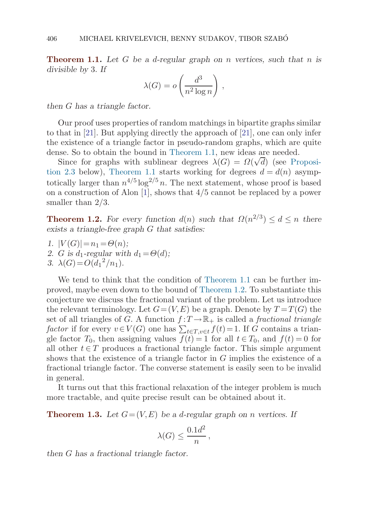<span id="page-3-0"></span>**Theorem 1.1.** *Let* G *be a* d*-regular graph on* n *vertices, such that* n *is divisible by* 3*. If*

$$
\lambda(G) = o\left(\frac{d^3}{n^2 \log n}\right),\,
$$

*then* G *has a triangle factor.*

Our proof uses properties of random matchings in bipartite graphs similar to that in [[21](#page-21-0)]. But applying directly the approach of [\[21](#page-21-0)], one can only infer the existence of a triangle factor in pseudo-random graphs, which are quite dense. So to obtain the bound in Theorem 1.1, new ideas are needed.

Since for graphs with sublinear degrees  $\lambda(G) = \Omega(\sqrt{d})$  (see [Proposi](#page-5-0)ti[on 2.3](#page-5-0) below), Theorem 1.1 starts working for degrees  $d = d(n)$  asymptotically larger than  $n^{4/5} \log^{2/5} n$ . The next statement, whose proof is based on a construction of Alon [\[1](#page-20-0)], shows that 4/5 cannot be replaced by a power smaller than  $2/3$ .

**Theorem 1.2.** *For every function*  $d(n)$  *such that*  $\Omega(n^{2/3}) \leq d \leq n$  *there exists a triangle-free graph* G *that satisfies:*

- *1.*  $|V(G)| = n_1 = \Theta(n);$
- 2. G is  $d_1$ -regular with  $d_1 = \Theta(d)$ ;
- 3.  $\lambda(G) = O(d_1^2/n_1)$ .

We tend to think that the condition of Theorem 1.1 can be further improved, maybe even down to the bound of Theorem 1.2. To substantiate this conjecture we discuss the fractional variant of the problem. Let us introduce the relevant terminology. Let  $G=(V,E)$  be a graph. Denote by  $T=T(G)$  the set of all triangles of G. A function  $f: T \to \mathbb{R}_+$  is called a *fractional triangle* factor if for every  $v \in V(G)$  one has  $\sum_{t \in T, v \in t} f(t) = 1$ . If G contains a triangle factor  $T_0$ , then assigning values  $f(t) = 1$  for all  $t \in T_0$ , and  $f(t) = 0$  for all other  $t \in T$  produces a fractional triangle factor. This simple argument shows that the existence of a triangle factor in G implies the existence of a fractional triangle factor. The converse statement is easily seen to be invalid in general.

It turns out that this fractional relaxation of the integer problem is much more tractable, and quite precise result can be obtained about it.

**Theorem 1.3.** Let  $G = (V, E)$  be a d-regular graph on *n* vertices. If

$$
\lambda(G) \le \frac{0.1d^2}{n},
$$

*then* G *has a fractional triangle factor.*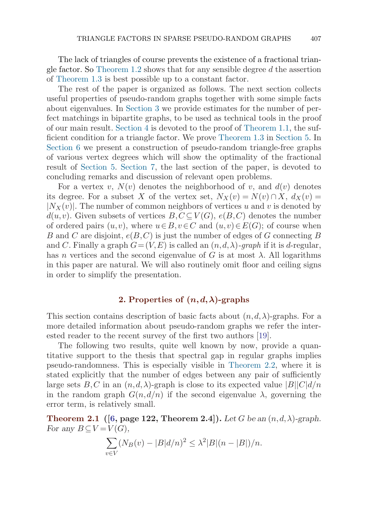<span id="page-4-0"></span>The lack of triangles of course prevents the existence of a fractional triangle factor. So [Theorem 1.2](#page-3-0) shows that for any sensible degree d the assertion of [Theorem 1.3](#page-3-0) is best possible up to a constant factor.

The rest of the paper is organized as follows. The next section collects useful properties of pseudo-random graphs together with some simple facts about eigenvalues. In [Section 3](#page-6-0) we provide estimates for the number of perfect matchings in bipartite graphs, to be used as technical tools in the proof of our main result. [Section 4](#page-7-0) is devoted to the proof of [Theorem 1.1,](#page-3-0) the sufficient condition for a triangle factor. We prove [Theorem 1.3](#page-3-0) in [Section 5](#page-14-0). In [Section 6](#page-18-0) we present a construction of pseudo-random triangle-free graphs of various vertex degrees which will show the optimality of the fractional result of [Section 5.](#page-14-0) [Section 7](#page-19-0), the last section of the paper, is devoted to concluding remarks and discussion of relevant open problems.

For a vertex v,  $N(v)$  denotes the neighborhood of v, and  $d(v)$  denotes its degree. For a subset X of the vertex set,  $N_X(v) = N(v) \cap X$ ,  $d_X(v) =$  $|N_X(v)|$ . The number of common neighbors of vertices u and v is denoted by  $d(u,v)$ . Given subsets of vertices  $B, C \subseteq V(G)$ ,  $e(B,C)$  denotes the number of ordered pairs  $(u, v)$ , where  $u \in B$ ,  $v \in C$  and  $(u, v) \in E(G)$ ; of course when B and C are disjoint,  $e(B, C)$  is just the number of edges of G connecting B and C. Finally a graph  $G=(V,E)$  is called an  $(n,d,\lambda)$ -graph if it is d-regular, has n vertices and the second eigenvalue of G is at most  $\lambda$ . All logarithms in this paper are natural. We will also routinely omit floor and ceiling signs in order to simplify the presentation.

# **2. Properties of (***n, d,λ***)-graphs**

This section contains description of basic facts about  $(n, d, \lambda)$ -graphs. For a more detailed information about pseudo-random graphs we refer the interested reader to the recent survey of the first two authors [[19](#page-21-0)].

The following two results, quite well known by now, provide a quantitative support to the thesis that spectral gap in regular graphs implies pseudo-randomness. This is especially visible in [Theorem 2.2](#page-5-0), where it is stated explicitly that the number of edges between any pair of sufficiently large sets  $B, C$  in an  $(n, d, \lambda)$ -graph is close to its expected value  $|B||C|d/n$ in the random graph  $G(n, d/n)$  if the second eigenvalue  $\lambda$ , governing the error term, is relatively small.

**Theorem 2.1** ([6](#page-20-0), page 122, Theorem 2.4). Let G be an  $(n, d, \lambda)$ -graph. *For any*  $B \subseteq V = V(G)$ *,* 

$$
\sum_{v \in V} (N_B(v) - |B|d/n)^2 \le \lambda^2 |B|(n - |B|)/n.
$$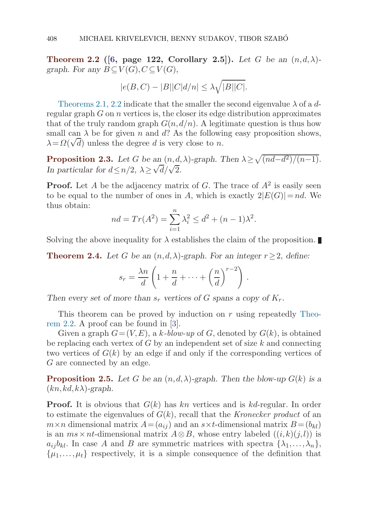<span id="page-5-0"></span>**Theorem 2.2** ([[6](#page-20-0), page 122, Corollary 2.5]). Let G be an  $(n,d,\lambda)$ *graph. For any*  $B \subseteq V(G)$ *,*  $C \subseteq V(G)$ *,* 

$$
|e(B,C) - |B||C|d/n| \le \lambda \sqrt{|B||C|}.
$$

[Theorems 2.1,](#page-4-0) 2.2 indicate that the smaller the second eigenvalue  $\lambda$  of a dregular graph  $G$  on  $n$  vertices is, the closer its edge distribution approximates that of the truly random graph  $G(n, d/n)$ . A legitimate question is thus how small can  $\lambda$  be for given n and d? As the following easy proposition shows,  $\lambda = \Omega(\sqrt{d})$  unless the degree d is very close to n.

**Proposition 2.3.** *Let* G *be an*  $(n, d, \lambda)$ *-graph. Then*  $\lambda \geq \sqrt{(nd-d^2)/(n-1)}$ *. In particular for*  $d \leq n/2$ ,  $\lambda \geq \sqrt{d}/\sqrt{2}$ .

**Proof.** Let A be the adjacency matrix of G. The trace of  $A^2$  is easily seen to be equal to the number of ones in A, which is exactly  $2|E(G)|=nd$ . We thus obtain:

$$
nd = Tr(A^{2}) = \sum_{i=1}^{n} \lambda_{i}^{2} \le d^{2} + (n - 1)\lambda^{2}.
$$

Solving the above inequality for  $\lambda$  establishes the claim of the proposition.

**Theorem 2.4.** *Let* G *be an*  $(n, d, \lambda)$ -graph. For an integer  $r \geq 2$ , define:

$$
s_r = \frac{\lambda n}{d} \left( 1 + \frac{n}{d} + \dots + \left( \frac{n}{d} \right)^{r-2} \right).
$$

Then every set of more than  $s_r$  vertices of G spans a copy of  $K_r$ .

This theorem can be proved by induction on  $r$  using repeatedly Theorem 2.2. A proof can be found in [[3](#page-20-0)].

Given a graph  $G = (V, E)$ , a k-blow-up of G, denoted by  $G(k)$ , is obtained be replacing each vertex of  $G$  by an independent set of size  $k$  and connecting two vertices of  $G(k)$  by an edge if and only if the corresponding vertices of G are connected by an edge.

**Proposition 2.5.** Let G be an  $(n, d, \lambda)$ -graph. Then the blow-up  $G(k)$  is a  $(kn, kd, k\lambda)$ -graph.

**Proof.** It is obvious that  $G(k)$  has kn vertices and is kd-regular. In order to estimate the eigenvalues of  $G(k)$ , recall that the Kronecker product of an  $m \times n$  dimensional matrix  $A = (a_{ij})$  and an  $s \times t$ -dimensional matrix  $B = (b_{kl})$ is an  $ms \times nt$ -dimensional matrix  $A \otimes B$ , whose entry labeled  $((i,k)(j,l))$  is  $a_{ij}b_{kl}$ . In case A and B are symmetric matrices with spectra  $\{\lambda_1,\ldots,\lambda_n\}$ ,  $\{\mu_1,\ldots,\mu_t\}$  respectively, it is a simple consequence of the definition that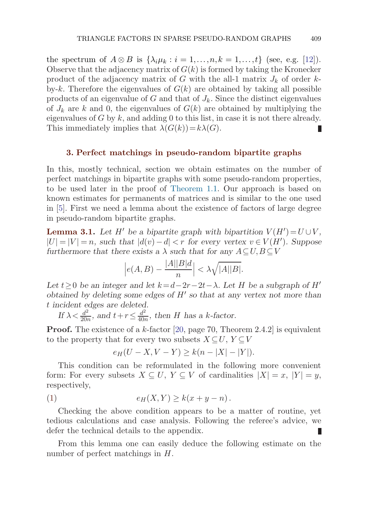<span id="page-6-0"></span>the spectrum of  $A \otimes B$  is  $\{\lambda_i \mu_k : i = 1, \ldots, n, k = 1, \ldots, t\}$  (see, e.g. [\[12\]](#page-20-0)). Observe that the adjacency matrix of  $G(k)$  is formed by taking the Kronecker product of the adjacency matrix of G with the all-1 matrix  $J_k$  of order kby-k. Therefore the eigenvalues of  $G(k)$  are obtained by taking all possible products of an eigenvalue of G and that of  $J_k$ . Since the distinct eigenvalues of  $J_k$  are k and 0, the eigenvalues of  $G(k)$  are obtained by multiplying the eigenvalues of G by  $k$ , and adding 0 to this list, in case it is not there already. This immediately implies that  $\lambda(G(k))=k\lambda(G)$ . П

## **3. Perfect matchings in pseudo-random bipartite graphs**

In this, mostly technical, section we obtain estimates on the number of perfect matchings in bipartite graphs with some pseudo-random properties, to be used later in the proof of [Theorem 1.1.](#page-3-0) Our approach is based on known estimates for permanents of matrices and is similar to the one used in [\[5\]](#page-20-0). First we need a lemma about the existence of factors of large degree in pseudo-random bipartite graphs.

**Lemma 3.1.** Let  $H'$  be a bipartite graph with bipartition  $V(H') = U \cup V$ ,  $|U| = |V| = n$ , such that  $|d(v) - d| < r$  for every vertex  $v \in V(H')$ . Suppose *furthermore that there exists a*  $\lambda$  *such that for any*  $A \subseteq U, B \subseteq V$ 

$$
\left| e(A,B) - \frac{|A||B|d}{n} \right| < \lambda \sqrt{|A||B|}.
$$

Let  $t > 0$  be an integer and let  $k = d-2r-2t-\lambda$ . Let H be a subgraph of H' *obtained by deleting some edges of*  $H'$  *so that at any vertex not more than* t *incident edges are deleted.*

If  $\lambda < \frac{d^2}{20n}$ , and  $t + r \leq \frac{d^2}{40n}$ , then *H* has a *k*-factor.

**Proof.** The existence of a k-factor [[20](#page-21-0), page 70, Theorem 2.4.2] is equivalent to the property that for every two subsets  $X \subseteq U, Y \subseteq V$ 

$$
e_H(U - X, V - Y) \ge k(n - |X| - |Y|).
$$

This condition can be reformulated in the following more convenient form: For every subsets  $X \subseteq U$ ,  $Y \subseteq V$  of cardinalities  $|X| = x$ ,  $|Y| = y$ , respectively,

$$
(1) \t e_H(X,Y) \geq k(x+y-n).
$$

Checking the above condition appears to be a matter of routine, yet tedious calculations and case analysis. Following the referee's advice, we defer the technical details to the appendix.

From this lemma one can easily deduce the following estimate on the number of perfect matchings in H.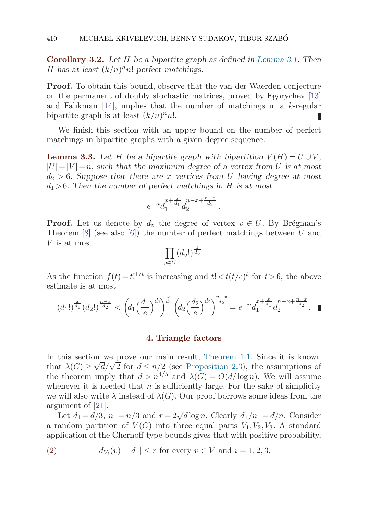<span id="page-7-0"></span>**Corollary 3.2.** *Let* H *be a bipartite graph as defined in [Lemma 3.1.](#page-6-0) Then* H has at least  $(k/n)^n n!$  perfect matchings.

**Proof.** To obtain this bound, observe that the van der Waerden conjecture on the permanent of doubly stochastic matrices, proved by Egorychev [\[13](#page-21-0)] and Falikman  $[14]$  $[14]$ , implies that the number of matchings in a k-regular bipartite graph is at least  $(k/n)^n n!$ .

We finish this section with an upper bound on the number of perfect matchings in bipartite graphs with a given degree sequence.

**Lemma 3.3.** Let H be a bipartite graph with bipartition  $V(H) = U \cup V$ ,  $|U|=|V|=n$ , such that the maximum degree of a vertex from U is at most d<sup>2</sup> > 6*. Suppose that there are* x *vertices from* U *having degree at most* d1>6*. Then the number of perfect matchings in* H *is at most*

$$
e^{-n}d_1^{x+\frac{x}{d_1}}d_2^{n-x+\frac{n-x}{d_2}}.
$$

**Proof.** Let us denote by  $d_v$  the degree of vertex  $v \in U$ . By Brégman's Theorem  $[8]$  $[8]$  (see also  $[6]$  $[6]$  $[6]$ ) the number of perfect matchings between U and V is at most

$$
\prod_{v\in U} (d_v!)^{\frac{1}{d_v}}.
$$

As the function  $f(t) = t!^{1/t}$  is increasing and  $t! < t(t/e)^t$  for  $t > 6$ , the above estimate is at most

$$
(d_1!)^{\frac{x}{d_1}}(d_2!)^{\frac{n-x}{d_2}} < \left(d_1 \left(\frac{d_1}{e}\right)^{d_1}\right)^{\frac{x}{d_1}} \left(d_2 \left(\frac{d_2}{e}\right)^{d_2}\right)^{\frac{n-x}{d_2}} = e^{-n}d_1^{x + \frac{x}{d_1}}d_2^{n-x + \frac{n-x}{d_2}}.\quad \blacksquare
$$

## **4. Triangle factors**

In this section we prove our main result, [Theorem 1.1](#page-3-0). Since it is known In this section we prove our main result, Theorem 1.1. Since it is known<br>that  $\lambda(G) \ge \sqrt{d}/\sqrt{2}$  for  $d \le n/2$  (see [Proposition 2.3](#page-5-0)), the assumptions of the theorem imply that  $d > n^{4/5}$  and  $\lambda(G) = O(d/\log n)$ . We will assume whenever it is needed that  $n$  is sufficiently large. For the sake of simplicity we will also write  $\lambda$  instead of  $\lambda(G)$ . Our proof borrows some ideas from the argument of [[21\]](#page-21-0).

Let  $d_1 = d/3$ ,  $n_1 = n/3$  and  $r = 2\sqrt{d \log n}$ . Clearly  $d_1/n_1 = d/n$ . Consider a random partition of  $V(G)$  into three equal parts  $V_1, V_2, V_3$ . A standard application of the Chernoff-type bounds gives that with positive probability,

(2) 
$$
|d_{V_i}(v) - d_1| \le r
$$
 for every  $v \in V$  and  $i = 1, 2, 3$ .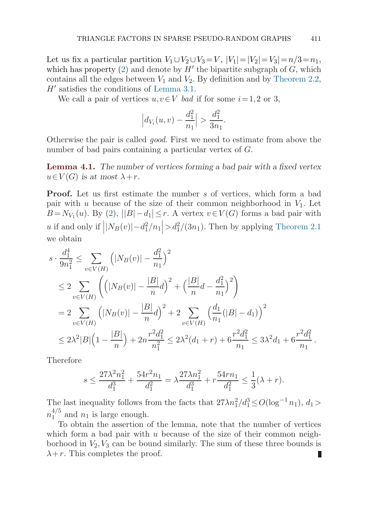<span id="page-8-0"></span>Let us fix a particular partition  $V_1 \cup V_2 \cup V_3 = V$ ,  $|V_1| = |V_2| = V_3 = n/3 = n_1$ , which has property [\(2\)](#page-7-0) and denote by  $H'$  the bipartite subgraph of  $G$ , which contains all the edges between  $V_1$  and  $V_2$ . By definition and by [Theorem 2.2](#page-5-0),  $H'$  satisfies the conditions of [Lemma 3.1](#page-6-0).

We call a pair of vertices  $u, v \in V$  bad if for some  $i = 1, 2$  or 3,

$$
\left| d_{V_i}(u,v) - \frac{d_1^2}{n_1} \right| > \frac{d_1^2}{3n_1}.
$$

Otherwise the pair is called good. First we need to estimate from above the number of bad pairs containing a particular vertex of G.

**Lemma 4.1.** *The number of vertices forming a bad pair with a fixed vertex*  $u \in V(G)$  *is at most*  $\lambda + r$ *.* 

**Proof.** Let us first estimate the number s of vertices, which form a bad pair with u because of the size of their common neighborhood in  $V_1$ . Let  $B = N_{V_1}(u)$ . By [\(2](#page-7-0)),  $||B|-d_1| \leq r$ . A vertex  $v \in V(G)$  forms a bad pair with u if and only if  $\left| |N_B(v)| - d_1^2/n_1 \right| > d_1^2/(3n_1)$ . Then by applying [Theorem 2.1](#page-4-0) we obtain

$$
s \cdot \frac{d_1^4}{9n_1^2} \le \sum_{v \in V(H)} \left( |N_B(v)| - \frac{d_1^2}{n_1} \right)^2
$$
  
\n
$$
\le 2 \sum_{v \in V(H)} \left( \left( |N_B(v)| - \frac{|B|}{n} d \right)^2 + \left( \frac{|B|}{n} d - \frac{d_1^2}{n_1} \right)^2 \right)
$$
  
\n
$$
= 2 \sum_{v \in V(H)} \left( |N_B(v)| - \frac{|B|}{n} d \right)^2 + 2 \sum_{v \in V(H)} \left( \frac{d_1}{n_1} (|B| - d_1) \right)^2
$$
  
\n
$$
\le 2\lambda^2 |B| \left( 1 - \frac{|B|}{n} \right) + 2n \frac{r^2 d_1^2}{n_1^2} \le 2\lambda^2 (d_1 + r) + 6 \frac{r^2 d_1^2}{n_1} \le 3\lambda^2 d_1 + 6 \frac{r^2 d_1^2}{n_1}.
$$

Therefore

$$
s \le \frac{27\lambda^2n_1^2}{d_1^3} + \frac{54r^2n_1}{d_1^2} = \lambda \frac{27\lambda n_1^2}{d_1^3} + r \frac{54rn_1}{d_1^2} \le \frac{1}{3}(\lambda + r).
$$

The last inequality follows from the facts that  $27\lambda n_1^2/d_1^3 \leq O(\log^{-1} n_1)$ ,  $d_1 >$  $n_1^{4/5}$  and  $n_1$  is large enough.

To obtain the assertion of the lemma, note that the number of vertices which form a bad pair with u because of the size of their common neighborhood in  $V_2, V_3$  can be bound similarly. The sum of these three bounds is  $\lambda + r$ . This completes the proof. П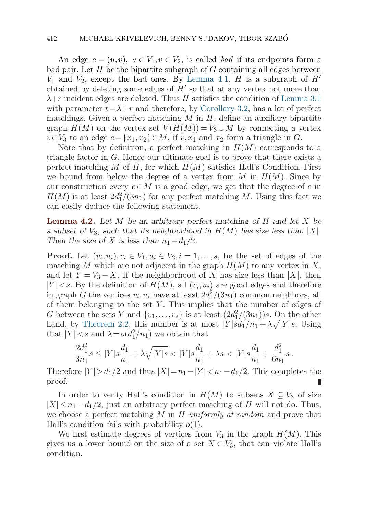An edge  $e = (u, v), u \in V_1, v \in V_2$ , is called *bad* if its endpoints form a bad pair. Let  $H$  be the bipartite subgraph of  $G$  containing all edges between  $V_1$  and  $V_2$ , except the bad ones. By [Lemma 4.1](#page-8-0), H is a subgraph of H' obtained by deleting some edges of  $H'$  so that at any vertex not more than  $\lambda + r$  incident edges are deleted. Thus H satisfies the condition of [Lemma 3.1](#page-6-0) with parameter  $t = \lambda + r$  and therefore, by [Corollary 3.2,](#page-7-0) has a lot of perfect matchings. Given a perfect matching  $M$  in  $H$ , define an auxiliary bipartite graph  $H(M)$  on the vertex set  $V(H(M)) = V_3 \cup M$  by connecting a vertex  $v \in V_3$  to an edge  $e = \{x_1, x_2\} \in M$ , if  $v, x_1$  and  $x_2$  form a triangle in G.

Note that by definition, a perfect matching in  $H(M)$  corresponds to a triangle factor in G. Hence our ultimate goal is to prove that there exists a perfect matching M of H, for which  $H(M)$  satisfies Hall's Condition. First we bound from below the degree of a vertex from M in  $H(M)$ . Since by our construction every  $e \in M$  is a good edge, we get that the degree of e in  $H(M)$  is at least  $2d_1^2/(3n_1)$  for any perfect matching M. Using this fact we can easily deduce the following statement.

**Lemma 4.2.** *Let* M *be an arbitrary perfect matching of* H *and let* X *be a* subset of  $V_3$ , such that its neighborhood in  $H(M)$  has size less than |X|. *Then the size of* X *is less than*  $n_1 - d_1/2$ *.* 

**Proof.** Let  $(v_i, u_i), v_i \in V_1, u_i \in V_2, i = 1, \ldots, s$ , be the set of edges of the matching M which are not adjacent in the graph  $H(M)$  to any vertex in X, and let  $Y = V_3 - X$ . If the neighborhood of X has size less than |X|, then  $|Y| < s$ . By the definition of  $H(M)$ , all  $(v_i, u_i)$  are good edges and therefore in graph G the vertices  $v_i, u_i$  have at least  $2d_1^2/(3n_1)$  common neighbors, all of them belonging to the set  $Y$ . This implies that the number of edges of G between the sets Y and  $\{v_1, \ldots, v_s\}$  is at least  $(2d_1^2/(3n_1))s$ . On the other hand, by [Theorem 2.2,](#page-5-0) this number is at most  $|Y|sd_1/n_1 + \lambda \sqrt{|Y|s}$ . Using that  $|Y| < s$  and  $\lambda = o(d_1^2/n_1)$  we obtain that

$$
\frac{2d_1^2}{3n_1}s\le |Y|s\frac{d_1}{n_1}+\lambda\sqrt{|Y|s}< |Y|s\frac{d_1}{n_1}+\lambda s< |Y|s\frac{d_1}{n_1}+\frac{d_1^2}{6n_1}s\,.
$$

Therefore  $|Y| > d_1/2$  and thus  $|X|=n_1-|Y| < n_1-d_1/2$ . This completes the proof. П

In order to verify Hall's condition in  $H(M)$  to subsets  $X \subseteq V_3$  of size  $|X| \leq n_1 - d_1/2$ , just an arbitrary perfect matching of H will not do. Thus, we choose a perfect matching  $M$  in  $H$  uniformly at random and prove that Hall's condition fails with probability  $o(1)$ .

We first estimate degrees of vertices from  $V_3$  in the graph  $H(M)$ . This gives us a lower bound on the size of a set  $X \subset V_3$ , that can violate Hall's condition.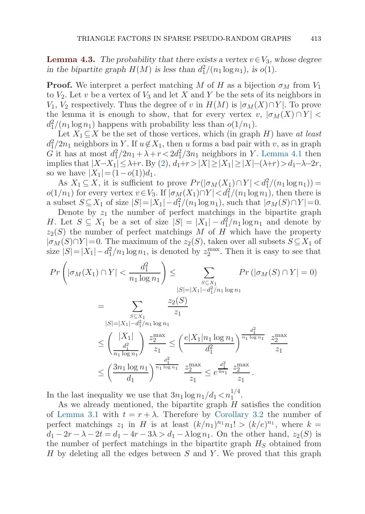<span id="page-10-0"></span>**Lemma 4.3.** *The probability that there exists a vertex*  $v \in V_3$ *, whose degree in the bipartite graph*  $H(M)$  *is less than*  $d_1^2/(n_1 \log n_1)$ *, is*  $o(1)$ *.* 

**Proof.** We interpret a perfect matching M of H as a bijection  $\sigma_M$  from  $V_1$ to  $V_2$ . Let v be a vertex of  $V_3$  and let X and Y be the sets of its neighbors in  $V_1, V_2$  respectively. Thus the degree of v in  $H(M)$  is  $|\sigma_M(X) \cap Y|$ . To prove the lemma it is enough to show, that for every vertex v,  $|\sigma_M(X) \cap Y|$  $d_1^2/(n_1 \log n_1)$  happens with probability less than  $o(1/n_1)$ .

Let  $X_1 \subseteq X$  be the set of those vertices, which (in graph H) have at least  $d_1^2/2n_1$  neighbors in Y. If  $u \notin X_1$ , then u forms a bad pair with v, as in graph  $\tilde{G}$  it has at most  $d_1^2/2n_1 + \lambda + r < 2d_1^2/3n_1$  neighbors in Y. [Lemma 4.1](#page-8-0) then implies that  $|X-X_1|$  ≤  $\lambda$ +r. By [\(2\)](#page-7-0),  $d_1$ +r >  $|X|$  ≥  $|X_1|$  ≥  $|X|-(\lambda+r)$  >  $d_1$ − $\lambda$ −2r, so we have  $|X_1| = (1 - o(1))d_1$ .

As  $X_1 \subseteq X$ , it is sufficient to prove  $Pr(|\sigma_M(X_1) \cap Y| < d_1^2/(n_1 \log n_1))$  =  $o(1/n_1)$  for every vertex  $v \in V_3$ . If  $|\sigma_M(X_1) \cap Y| < d_1^2/(n_1 \log n_1)$ , then there is a subset  $S \subseteq X_1$  of size  $|S| = |X_1| - d_1^2/(n_1 \log n_1)$ , such that  $|\sigma_M(S) \cap Y| = 0$ .

Denote by  $z_1$  the number of perfect matchings in the bipartite graph H. Let  $S \subseteq X_1$  be a set of size  $|S| = |X_1| - d_1^2/n_1 \log n_1$  and denote by  $z_2(S)$  the number of perfect matchings M of H which have the property  $|\sigma_M(S) \cap Y| = 0$ . The maximum of the  $z_2(S)$ , taken over all subsets  $S \subseteq X_1$  of size  $|S|=|X_1|-d_1^2/n_1\log n_1$ , is denoted by  $z_2^{\max}$ . Then it is easy to see that

$$
Pr\left(|\sigma_M(X_1) \cap Y| < \frac{d_1^2}{n_1 \log n_1}\right) \leq \sum_{\substack{S \subseteq X_1 \\ |S| = |X_1| - d_1^2/n_1 \log n_1}} Pr\left(|\sigma_M(S) \cap Y| = 0\right)
$$
\n
$$
= \sum_{\substack{S \subseteq X_1 \\ |S| = |X_1| - d_1^2/n_1 \log n_1}} \frac{z_2(S)}{z_1}
$$
\n
$$
\leq \left(\frac{|X_1|}{\frac{d_1^2}{n_1 \log n_1}}\right) \frac{z_2^{\max}}{z_1} \leq \left(\frac{e|X_1|n_1 \log n_1}{d_1^2}\right)^{\frac{d_1^2}{n_1 \log n_1}} \frac{z_2^{\max}}{z_1}
$$
\n
$$
\leq \left(\frac{3n_1 \log n_1}{d_1}\right)^{\frac{d_1^2}{n_1 \log n_1}} \frac{z_2^{\max}}{z_1} \leq e^{\frac{d_1^2}{4n_1}} \frac{z_2^{\max}}{z_1}.
$$

In the last inequality we use that  $3n_1 \log n_1/d_1 < n_1^{1/4}$ .

As we already mentioned, the bipartite graph  $H$  satisfies the condition of [Lemma 3.1](#page-6-0) with  $t = r + \lambda$ . Therefore by [Corollary 3.2](#page-7-0) the number of perfect matchings  $z_1$  in H is at least  $(k/n_1)^{n_1}n_1! > (k/e)^{n_1}$ , where  $k =$  $d_1 - 2r - \lambda - 2t = d_1 - 4r - 3\lambda > d_1 - \lambda \log n_1$ . On the other hand,  $z_2(S)$  is the number of perfect matchings in the bipartite graph  $H<sub>S</sub>$  obtained from H by deleting all the edges between  $S$  and  $Y$ . We proved that this graph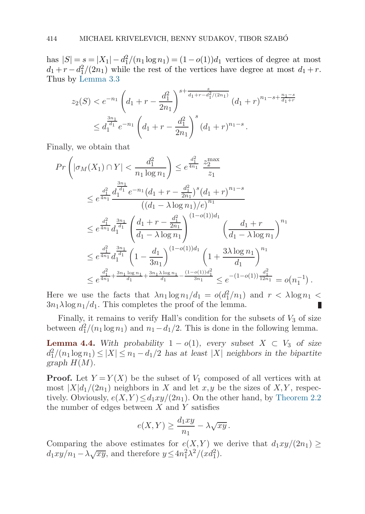<span id="page-11-0"></span>has  $|S| = s = |X_1| - d_1^2/(n_1 \log n_1) = (1 - o(1))d_1$  vertices of degree at most  $d_1 + r - d_1^2/(2n_1)$  while the rest of the vertices have degree at most  $d_1 + r$ . Thus by [Lemma 3.3](#page-7-0)

$$
z_2(S) < e^{-n_1} \left( d_1 + r - \frac{d_1^2}{2n_1} \right)^{s + \frac{s}{d_1 + r - d_1^2/(2n_1)}} (d_1 + r)^{n_1 - s + \frac{n_1 - s}{d_1 + r}} \n\leq d_1^{\frac{3n_1}{d_1}} e^{-n_1} \left( d_1 + r - \frac{d_1^2}{2n_1} \right)^s (d_1 + r)^{n_1 - s}.
$$

Finally, we obtain that

$$
Pr\left(|\sigma_M(X_1) \cap Y| < \frac{d_1^2}{n_1 \log n_1}\right) \leq e^{\frac{d_1^2}{4n_1}} \frac{z_2^{\max}}{z_1}
$$
\n
$$
\leq e^{\frac{d_1^2}{4n_1}} \frac{d_1^{\frac{3n_1}{4}}e^{-n_1}(d_1 + r - \frac{d_1^2}{2n_1})^s (d_1 + r)^{n_1 - s}}{((d_1 - \lambda \log n_1)/e)^{n_1}}
$$
\n
$$
\leq e^{\frac{d_1^2}{4n_1}} d_1^{\frac{3n_1}{d_1}} \left(\frac{d_1 + r - \frac{d_1^2}{2n_1}}{d_1 - \lambda \log n_1}\right)^{(1 - o(1))d_1} \left(\frac{d_1 + r}{d_1 - \lambda \log n_1}\right)^{n_1}
$$
\n
$$
\leq e^{\frac{d_1^2}{4n_1}} d_1^{\frac{3n_1}{d_1}} \left(1 - \frac{d_1}{3n_1}\right)^{(1 - o(1))d_1} \left(1 + \frac{3\lambda \log n_1}{d_1}\right)^{n_1}
$$
\n
$$
\leq e^{\frac{d_1^2}{4n_1} + \frac{3n_1 \log n_1}{d_1} + \frac{3n_1 \lambda \log n_1}{d_1} - \frac{(1 - o(1))d_1^2}{3n_1}} \leq e^{-(1 - o(1))\frac{d_1^2}{12n_1}} = o(n_1^{-1}).
$$

Here we use the facts that  $\lambda n_1 \log n_1/d_1 = o(d_1^2/n_1)$  and  $r < \lambda \log n_1 <$  $3n_1\lambda \log n_1/d_1$ . This completes the proof of the lemma. П

Finally, it remains to verify Hall's condition for the subsets of  $V_3$  of size between  $d_1^2/(n_1 \log n_1)$  and  $n_1 - d_1/2$ . This is done in the following lemma.

**Lemma 4.4.** With probability  $1 - o(1)$ , every subset  $X \subset V_3$  of size  $d_1^2/(n_1 \log n_1) \leq |X| \leq n_1 - d_1/2$  has at least  $|X|$  neighbors in the bipartite *graph*  $H(M)$ *.* 

**Proof.** Let  $Y = Y(X)$  be the subset of  $V_1$  composed of all vertices with at most  $|X|d_1/(2n_1)$  neighbors in X and let  $x, y$  be the sizes of X, Y, respectively. Obviously,  $e(X,Y) \leq d_1xy/(2n_1)$ . On the other hand, by [Theorem 2.2](#page-5-0) the number of edges between  $X$  and  $Y$  satisfies

$$
e(X,Y) \ge \frac{d_1xy}{n_1} - \lambda \sqrt{xy} \, .
$$

Comparing the above estimates for  $e(X,Y)$  we derive that  $d_1xy/(2n_1) \ge$ Comparing the above estimates for  $e(x, t)$  we<br>  $d_1xy/n_1 - \lambda \sqrt{xy}$ , and therefore  $y \le 4n_1^2\lambda^2/(xd_1^2)$ .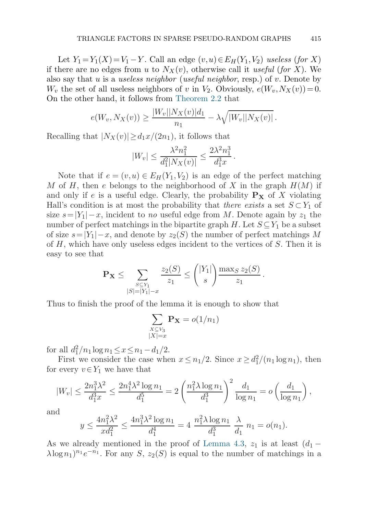Let  $Y_1 = Y_1(X) = V_1 - Y$ . Call an edge  $(v, u) \in E_H(Y_1, V_2)$  useless (for X) if there are no edges from u to  $N_X(v)$ , otherwise call it useful (for X). We also say that u is a useless neighbor (useful neighbor, resp.) of v. Denote by  $W_v$  the set of all useless neighbors of v in  $V_2$ . Obviously,  $e(W_v, N_X(v)) = 0$ . On the other hand, it follows from [Theorem 2.2](#page-5-0) that

$$
e(W_v, N_X(v)) \ge \frac{|W_v||N_X(v)|d_1}{n_1} - \lambda \sqrt{|W_v||N_X(v)|}.
$$

Recalling that  $|N_X(v)| \geq d_1x/(2n_1)$ , it follows that

$$
|W_v| \le \frac{\lambda^2 n_1^2}{d_1^2 |N_X(v)|} \le \frac{2\lambda^2 n_1^3}{d_1^3 x}.
$$

Note that if  $e = (v, u) \in E_H(Y_1, V_2)$  is an edge of the perfect matching M of H, then e belongs to the neighborhood of X in the graph  $H(M)$  if and only if e is a useful edge. Clearly, the probability  $P_X$  of X violating Hall's condition is at most the probability that there exists a set  $S \subset Y_1$  of size  $s=|Y_1|-x$ , incident to no useful edge from M. Denote again by  $z_1$  the number of perfect matchings in the bipartite graph H. Let  $S \subseteq Y_1$  be a subset of size  $s=|Y_1|-x$ , and denote by  $z_2(S)$  the number of perfect matchings M of  $H$ , which have only useless edges incident to the vertices of  $S$ . Then it is easy to see that

$$
\mathbf{P}_{\mathbf{X}} \leq \sum_{\substack{S \subseteq Y_1 \\ |S| = |Y_1| - x}} \frac{z_2(S)}{z_1} \leq {\binom{|Y_1|}{s}} \frac{\max_S z_2(S)}{z_1}.
$$

Thus to finish the proof of the lemma it is enough to show that

$$
\sum_{\substack{x \subseteq V_3 \\ |X|=x}} \mathbf{P_X} = o(1/n_1)
$$

for all  $d_1^2/n_1 \log n_1 \leq x \leq n_1 - d_1/2$ .

First we consider the case when  $x \leq n_1/2$ . Since  $x \geq d_1^2/(n_1 \log n_1)$ , then for every  $v \in Y_1$  we have that

$$
|W_v| \le \frac{2n_1^3\lambda^2}{d_1^3x} \le \frac{2n_1^4\lambda^2\log n_1}{d_1^5} = 2\left(\frac{n_1^2\lambda\log n_1}{d_1^3}\right)^2\frac{d_1}{\log n_1} = o\left(\frac{d_1}{\log n_1}\right),
$$

and

$$
y \le \frac{4n_1^2\lambda^2}{xd_1^2} \le \frac{4n_1^3\lambda^2\log n_1}{d_1^4} = 4 \frac{n_1^2\lambda\log n_1}{d_1^3} \frac{\lambda}{d_1} n_1 = o(n_1).
$$

As we already mentioned in the proof of [Lemma 4.3,](#page-10-0)  $z_1$  is at least  $(d_1 \lambda \log n_1$ <sup>n<sub>1</sub> e<sup>-n<sub>1</sub></sub>. For any S, z<sub>2</sub>(S) is equal to the number of matchings in a</sup></sup>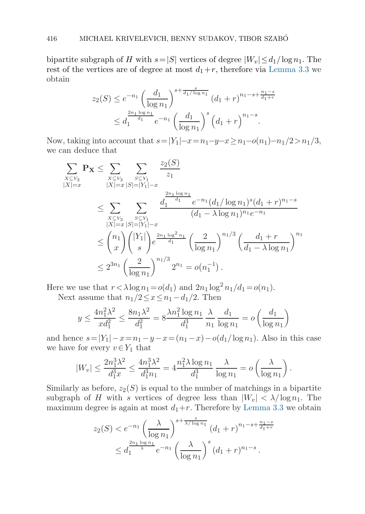bipartite subgraph of H with  $s=|S|$  vertices of degree  $|W_v|\leq d_1/\log n_1$ . The rest of the vertices are of degree at most  $d_1+r$ , therefore via [Lemma 3.3](#page-7-0) we obtain

$$
z_2(S) \le e^{-n_1} \left(\frac{d_1}{\log n_1}\right)^{s + \frac{s}{d_1/\log n_1}} (d_1 + r)^{n_1 - s + \frac{n_1 - s}{d_1 + r}}
$$
  

$$
\le d_1^{\frac{2n_1 \log n_1}{d_1}} e^{-n_1} \left(\frac{d_1}{\log n_1}\right)^s \left(d_1 + r\right)^{n_1 - s}.
$$

Now, taking into account that  $s=|Y_1|-x=n_1-y-x\geq n_1-o(n_1)-n_1/2>n_1/3$ , we can deduce that

$$
\sum_{X \subseteq V_3} \mathbf{P_X} \le \sum_{X \subseteq V_3} \sum_{S \subseteq Y_1} \frac{z_2(S)}{z_1}
$$
\n
$$
|X|=x
$$
\n
$$
\le \sum_{X \subseteq V_3} \sum_{S \subseteq Y_1} \frac{d_1^{\frac{2n_1 \log n_1}{d_1}} e^{-n_1} (d_1/\log n_1)^s (d_1+r)^{n_1-s}}{(d_1 - \lambda \log n_1)^{n_1} e^{-n_1}}
$$
\n
$$
\le \binom{n_1}{x} \binom{|Y_1|}{s} e^{\frac{2n_1 \log^2 n_1}{d_1}} \left(\frac{2}{\log n_1}\right)^{n_1/3} \left(\frac{d_1+r}{d_1 - \lambda \log n_1}\right)^{n_1}
$$
\n
$$
\le 2^{3n_1} \left(\frac{2}{\log n_1}\right)^{n_1/3} 2^{n_1} = o(n_1^{-1}).
$$

Here we use that  $r < \lambda \log n_1 = o(d_1)$  and  $2n_1 \log^2 n_1/d_1 = o(n_1)$ . Next assume that  $n_1/2 \leq x \leq n_1 - d_1/2$ . Then

$$
y \le \frac{4n_1^2\lambda^2}{xd_1^2} \le \frac{8n_1\lambda^2}{d_1^2} = 8\frac{\lambda n_1^2\log n_1}{d_1^3} \frac{\lambda}{n_1} \frac{d_1}{\log n_1} = o\left(\frac{d_1}{\log n_1}\right)
$$

and hence  $s=|Y_1|-x=n_1-y-x=(n_1-x)-o(d_1/\log n_1)$ . Also in this case we have for every  $v\!\in\! Y_1$  that

$$
|W_v| \le \frac{2n_1^3 \lambda^2}{d_1^3 x} \le \frac{4n_1^3 \lambda^2}{d_1^3 n_1} = 4 \frac{n_1^2 \lambda \log n_1}{d_1^3} \frac{\lambda}{\log n_1} = o\left(\frac{\lambda}{\log n_1}\right).
$$

Similarly as before,  $z_2(S)$  is equal to the number of matchings in a bipartite subgraph of H with s vertices of degree less than  $|W_v| < \lambda/\log n_1$ . The maximum degree is again at most  $d_1+r$ . Therefore by [Lemma 3.3](#page-7-0) we obtain

$$
z_2(S) < e^{-n_1} \left(\frac{\lambda}{\log n_1}\right)^{s + \frac{s}{\lambda/\log n_1}} (d_1 + r)^{n_1 - s + \frac{n_1 - s}{d_1 + r}} \n\leq d_1^{\frac{2n_1 \log n_1}{\lambda}} e^{-n_1} \left(\frac{\lambda}{\log n_1}\right)^s (d_1 + r)^{n_1 - s}.
$$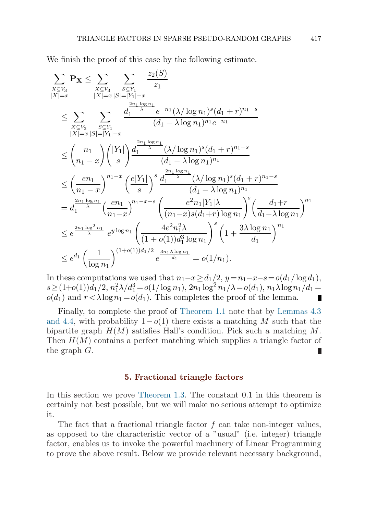<span id="page-14-0"></span>We finish the proof of this case by the following estimate.

$$
\sum_{X \subseteq V_3} P_X \le \sum_{X \subseteq V_3} \sum_{S \subseteq Y_1} \frac{z_2(S)}{z_1}
$$
\n
$$
|X| = x |S| = |Y_1| - x
$$
\n
$$
\le \sum_{X \subseteq V_3} \sum_{S \subseteq Y_1} \frac{d_1^{\frac{2n_1 \log n_1}{\lambda}} e^{-n_1} (\lambda/\log n_1)^s (d_1 + r)^{n_1 - s}}{|X| = x |S| = |Y_1| - x}
$$
\n
$$
\le {n_1 \choose n_1 - x} { |Y_1| \choose s} \frac{d_1^{\frac{2n_1 \log n_1}{\lambda}} (\lambda/\log n_1)^s (d_1 + r)^{n_1 - s}}{(d_1 - \lambda \log n_1)^{n_1}}
$$
\n
$$
\le \left(\frac{e n_1}{n_1 - x}\right)^{n_1 - x} \left(\frac{e |Y_1|}{s}\right)^s \frac{d_1^{\frac{2n_1 \log n_1}{\lambda}} (\lambda/\log n_1)^s (d_1 + r)^{n_1 - s}}{(d_1 - \lambda \log n_1)^{n_1}}
$$
\n
$$
= d_1^{\frac{2n_1 \log n_1}{\lambda}} \left(\frac{e n_1}{n_1 - x}\right)^{n_1 - x - s} \left(\frac{e^2 n_1 |Y_1|\lambda}{(n_1 - x)s(d_1 + r) \log n_1}\right)^s \left(\frac{d_1 + r}{d_1 - \lambda \log n_1}\right)^{n_1}
$$
\n
$$
\le e^{\frac{2n_1 \log^2 n_1}{\lambda}} e^{y \log n_1} \left(\frac{4e^2 n_1^2 \lambda}{(1 + o(1))d_1^3 \log n_1}\right)^s \left(1 + \frac{3\lambda \log n_1}{d_1}\right)^{n_1}
$$
\n
$$
\le e^{d_1} \left(\frac{1}{\log n_1}\right)^{(1 + o(1))d_1/2} e^{\frac{3n_1 \lambda \log n_1}{d_1}} = o(1/n_1).
$$

In these computations we used that  $n_1-x \ge d_1/2$ ,  $y=n_1-x-s=o(d_1/\log d_1)$ ,  $s \geq (1+o(1))d_1/2, n_1^2 \lambda/d_1^3 = o(1/\log n_1), 2n_1 \log^2 n_1/\lambda = o(d_1), n_1 \lambda \log n_1/d_1 =$  $o(d_1)$  and  $r < \lambda \log n_1 = o(d_1)$ . This completes the proof of the lemma. п

Finally, to complete the proof of [Theorem 1.1](#page-3-0) note that by [Lemmas 4.3](#page-10-0) [and 4.4,](#page-11-0) with probability  $1-o(1)$  there exists a matching M such that the bipartite graph  $H(M)$  satisfies Hall's condition. Pick such a matching M. Then  $H(M)$  contains a perfect matching which supplies a triangle factor of the graph G. п

#### **5. Fractional triangle factors**

In this section we prove [Theorem 1.3.](#page-3-0) The constant 0.1 in this theorem is certainly not best possible, but we will make no serious attempt to optimize it.

The fact that a fractional triangle factor  $f$  can take non-integer values, as opposed to the characteristic vector of a "usual" (i.e. integer) triangle factor, enables us to invoke the powerful machinery of Linear Programming to prove the above result. Below we provide relevant necessary background,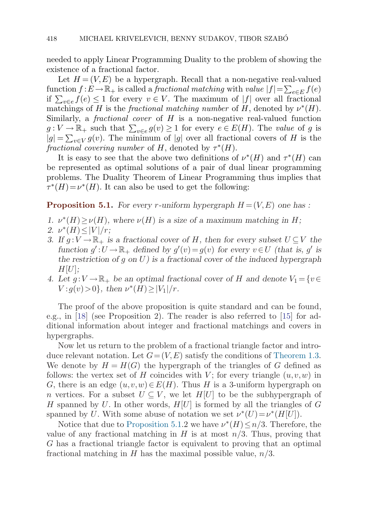<span id="page-15-0"></span>needed to apply Linear Programming Duality to the problem of showing the existence of a fractional factor.

Let  $H = (V, E)$  be a hypergraph. Recall that a non-negative real-valued function  $f: E \to \mathbb{R}_+$  is called a *fractional matching* with value  $|f| = \sum_{e \in E} f(e)$ if  $\sum_{v \in e} f(e) \leq 1$  for every  $v \in V$ . The maximum of |f| over all fractional matchings of H is the fractional matching number of H, denoted by  $\nu^*(H)$ . Similarly, a fractional cover of H is a non-negative real-valued function  $g: V \to \mathbb{R}_+$  such that  $\sum_{v \in e} g(v) \geq 1$  for every  $e \in E(H)$ . The value of g is  $|g| = \sum_{v \in V} g(v)$ . The minimum of  $|g|$  over all fractional covers of H is the fractional covering number of H, denoted by  $\tau^*(H)$ .

It is easy to see that the above two definitions of  $\nu^*(H)$  and  $\tau^*(H)$  can be represented as optimal solutions of a pair of dual linear programming problems. The Duality Theorem of Linear Programming thus implies that  $\tau^*(H) = \nu^*(H)$ . It can also be used to get the following:

**Proposition 5.1.** For every r-uniform hypergraph  $H = (V, E)$  one has :

- 1.  $\nu^{*}(H) \geq \nu(H)$ *, where*  $\nu(H)$  *is a size of a maximum matching in* H;
- 2.  $\nu^*(H) \leq |V|/r$ ;
- *3.* If  $g: V \to \mathbb{R}_+$  *is a fractional cover of H, then for every subset*  $U \subseteq V$  *the function*  $g' : U \to \mathbb{R}_+$  *defined by*  $g'(v) = g(v)$  *for every*  $v \in U$  *(that is,*  $g'$  *is the restriction of* g *on* U*) is a fractional cover of the induced hypergraph*  $H[U]$ ;
- *4.* Let  $g:V \to \mathbb{R}_+$  be an optimal fractional cover of H and denote  $V_1 = \{v \in V\}$  $V: g(v) > 0$ , then  $\nu^*(H) \geq |V_1|/r$ .

The proof of the above proposition is quite standard and can be found, e.g., in [[18\]](#page-21-0) (see Proposition 2). The reader is also referred to [\[15](#page-21-0)] for additional information about integer and fractional matchings and covers in hypergraphs.

Now let us return to the problem of a fractional triangle factor and introduce relevant notation. Let  $G=(V,E)$  satisfy the conditions of [Theorem 1.3](#page-3-0). We denote by  $H = H(G)$  the hypergraph of the triangles of G defined as follows: the vertex set of H coincides with V; for every triangle  $(u, v, w)$  in G, there is an edge  $(u,v,w) \in E(H)$ . Thus H is a 3-uniform hypergraph on n vertices. For a subset  $U \subseteq V$ , we let  $H[U]$  to be the subhypergraph of H spanned by U. In other words,  $H[U]$  is formed by all the triangles of G spanned by U. With some abuse of notation we set  $\nu^*(U)=\nu^*(H[U])$ .

Notice that due to Proposition 5.1.2 we have  $\nu^*(H) \leq n/3$ . Therefore, the value of any fractional matching in H is at most  $n/3$ . Thus, proving that G has a fractional triangle factor is equivalent to proving that an optimal fractional matching in H has the maximal possible value,  $n/3$ .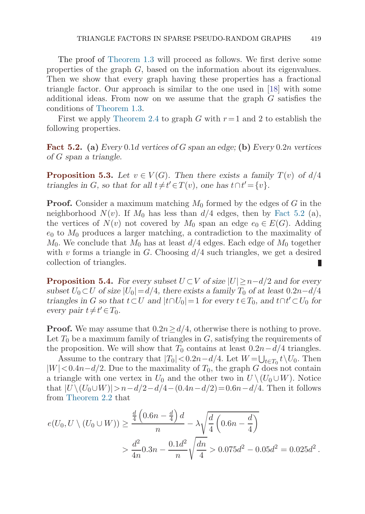<span id="page-16-0"></span>The proof of [Theorem 1.3](#page-3-0) will proceed as follows. We first derive some properties of the graph  $G$ , based on the information about its eigenvalues. Then we show that every graph having these properties has a fractional triangle factor. Our approach is similar to the one used in [[18\]](#page-21-0) with some additional ideas. From now on we assume that the graph G satisfies the conditions of [Theorem 1.3](#page-3-0).

First we apply [Theorem 2.4](#page-5-0) to graph G with  $r=1$  and 2 to establish the following properties.

**Fact 5.2. (a)** *Every* 0.1d *vertices of* G *span an edge;* **(b)** *Every* 0.2n *vertices of* G *span a triangle.*

**Proposition 5.3.** Let  $v \in V(G)$ . Then there exists a family  $T(v)$  of  $d/4$ *triangles in G, so that for all*  $t \neq t' \in T(v)$ *, one has*  $t \cap t' = \{v\}$ *.* 

**Proof.** Consider a maximum matching  $M_0$  formed by the edges of G in the neighborhood  $N(v)$ . If  $M_0$  has less than  $d/4$  edges, then by Fact 5.2 (a), the vertices of  $N(v)$  not covered by  $M_0$  span an edge  $e_0 \in E(G)$ . Adding  $e_0$  to  $M_0$  produces a larger matching, a contradiction to the maximality of  $M_0$ . We conclude that  $M_0$  has at least  $d/4$  edges. Each edge of  $M_0$  together with v forms a triangle in G. Choosing  $d/4$  such triangles, we get a desired collection of triangles. п

**Proposition 5.4.** *For every subset* U ⊂V *of size* |U|≥n−d/2 *and for every subset*  $U_0 \subset U$  *of size*  $|U_0| = d/4$ *, there exists a family*  $T_0$  *of at least* 0.2n−d/4 *triangles in G so that*  $t \subset U$  *and*  $|t \cap U_0| = 1$  *for every*  $t \in T_0$ *, and*  $t \cap t' \subset U_0$  *for every pair*  $t \neq t' \in T_0$ *.* 

**Proof.** We may assume that  $0.2n \ge d/4$ , otherwise there is nothing to prove. Let  $T_0$  be a maximum family of triangles in  $G$ , satisfying the requirements of the proposition. We will show that  $T_0$  contains at least  $0.2n-d/4$  triangles.

Assume to the contrary that  $|T_0| < 0.2n - d/4$ . Let  $W = \bigcup_{t \in T_0} t \setminus U_0$ . Then  $|W|<0.4n-d/2$ . Due to the maximality of  $T_0$ , the graph G does not contain a triangle with one vertex in  $U_0$  and the other two in  $U \setminus (U_0 \cup W)$ . Notice that  $|U \setminus (U_0 \cup W)| > n - d/2 - d/4 - (0.4n - d/2) = 0.6n - d/4$ . Then it follows from [Theorem 2.2](#page-5-0) that

$$
e(U_0, U \setminus (U_0 \cup W)) \ge \frac{\frac{d}{4} \left(0.6n - \frac{d}{4}\right) d}{n} - \lambda \sqrt{\frac{d}{4} \left(0.6n - \frac{d}{4}\right)}
$$
  
> 
$$
\frac{d^2}{4n} 0.3n - \frac{0.1d^2}{n} \sqrt{\frac{dn}{4}} > 0.075d^2 - 0.05d^2 = 0.025d^2.
$$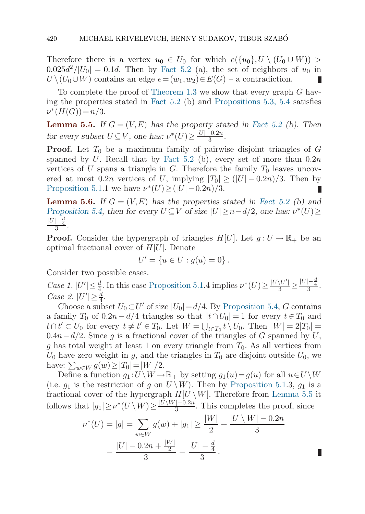<span id="page-17-0"></span>Therefore there is a vertex  $u_0 \in U_0$  for which  $e({u_0}, U \setminus (U_0 \cup W)) >$  $0.025d^2/|U_0| = 0.1d$ . Then by [Fact 5.2](#page-16-0) (a), the set of neighbors of  $u_0$  in  $U \setminus (U_0 \cup W)$  contains an edge  $e = (w_1, w_2) \in E(G)$  – a contradiction. Ш

To complete the proof of [Theorem 1.3](#page-3-0) we show that every graph G having the properties stated in [Fact 5.2](#page-16-0) (b) and [Propositions 5.3, 5.4](#page-16-0) satisfies  $\nu^*(H(G))=n/3.$ 

**Lemma 5.5.** If  $G = (V, E)$  has the property stated in [Fact 5.2](#page-16-0) (b). Then *for every subset*  $U \subseteq V$ *, one has:*  $\nu^*(U) \ge \frac{|U| - 0.2n}{3}$ *.* 

**Proof.** Let  $T_0$  be a maximum family of pairwise disjoint triangles of  $G$ spanned by U. Recall that by [Fact 5.2](#page-16-0) (b), every set of more than  $0.2n$ vertices of U spans a triangle in G. Therefore the family  $T_0$  leaves uncovered at most 0.2n vertices of U, implying  $|T_0| \ge (|U| - 0.2n)/3$ . Then by [Proposition 5.1](#page-15-0).1 we have  $\nu^*(U) \geq (|U| - 0.2n)/3$ . п

**Lemma 5.6.** *If*  $G = (V, E)$  *has the properties stated in [Fact 5.2](#page-16-0) (b) and [Proposition 5.4,](#page-16-0)* then for every  $U \subseteq V$  of size  $|U| \geq n - d/2$ , one has:  $v^*(U) \geq$  $\frac{|U|-\frac{d}{4}}{3}$ .

**Proof.** Consider the hypergraph of triangles  $H[U]$ . Let  $g: U \to \mathbb{R}_+$  be an optimal fractional cover of  $H[U]$ . Denote

$$
U' = \{ u \in U : g(u) = 0 \}.
$$

Consider two possible cases.

Case 1.  $|U'| \leq \frac{d}{4}$ . In this case [Proposition 5.1.](#page-15-0)4 implies  $\nu^*(U) \geq \frac{|U\setminus U'|}{3} \geq \frac{|U| - \frac{d}{4}}{3}$ . Case 2.  $|U'| \geq \frac{d}{4}$ .

Choose a subset  $U_0 \subset U'$  of size  $|U_0| = d/4$ . By [Proposition 5.4,](#page-16-0) G contains a family  $T_0$  of  $0.2n-d/4$  triangles so that  $|t \cap U_0| = 1$  for every  $t \in T_0$  and  $t \cap t' \subset U_0$  for every  $t \neq t' \in T_0$ . Let  $W = \bigcup_{t \in T_0} t \setminus U_0$ . Then  $|W| = 2|T_0| =$  $0.4n-d/2$ . Since g is a fractional cover of the triangles of G spanned by U, g has total weight at least 1 on every triangle from  $T_0$ . As all vertices from  $U_0$  have zero weight in g, and the triangles in  $T_0$  are disjoint outside  $U_0$ , we have:  $\sum_{w \in W} g(w) \ge |T_0| = |W|/2.$ 

Define a function  $g_1: U \backslash W \to \mathbb{R}_+$  by setting  $g_1(u)=g(u)$  for all  $u \in U \backslash W$ (i.e.  $g_1$  is the restriction of g on  $U \setminus W$ ). Then by [Proposition 5.1](#page-15-0).3,  $g_1$  is a fractional cover of the hypergraph  $H[U \setminus W]$ . Therefore from Lemma 5.5 it follows that  $|g_1| \ge \nu^*(U \setminus W) \ge \frac{|U \setminus W| - 0.2n}{3}$ . This completes the proof, since

$$
\nu^*(U) = |g| = \sum_{w \in W} g(w) + |g_1| \ge \frac{|W|}{2} + \frac{|U \setminus W| - 0.2n}{3}
$$

$$
= \frac{|U| - 0.2n + \frac{|W|}{2}}{3} = \frac{|U| - \frac{d}{4}}{3}.
$$

п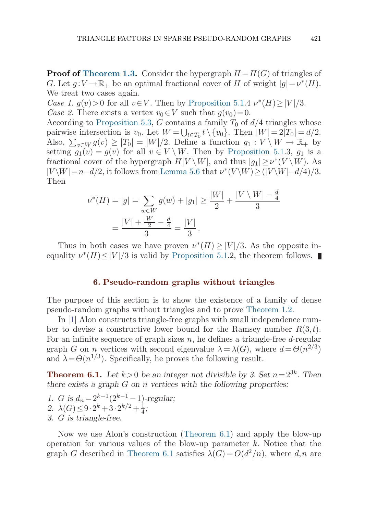<span id="page-18-0"></span>**Proof of [Theorem 1.3.](#page-3-0)** Consider the hypergraph  $H = H(G)$  of triangles of G. Let  $g:V\to\mathbb{R}_+$  be an optimal fractional cover of H of weight  $|g|=\nu^*(H)$ . We treat two cases again.

Case 1.  $q(v) > 0$  for all  $v \in V$ . Then by [Proposition 5.1.](#page-15-0)4  $\nu^*(H) > |V|/3$ . Case 2. There exists a vertex  $v_0 \in V$  such that  $g(v_0)=0$ .

According to [Proposition 5.3,](#page-16-0) G contains a family  $T_0$  of  $d/4$  triangles whose pairwise intersection is  $v_0$ . Let  $W = \bigcup_{t \in T_0} t \setminus \{v_0\}$ . Then  $|W| = 2|T_0| = d/2$ . Also,  $\sum_{v \in W} g(v) \ge |T_0| = |W|/2$ . Define a function  $g_1 : V \setminus W \to \mathbb{R}_+$  by setting  $g_1(v) = g(v)$  for all  $v \in V \setminus W$ . Then by [Proposition 5.1.](#page-15-0)3,  $g_1$  is a fractional cover of the hypergraph  $H[V \setminus W]$ , and thus  $|g_1| \geq \nu^*(V \setminus W)$ . As  $|V \backslash W| = n-d/2$ , it follows from [Lemma 5.6](#page-17-0) that  $\nu^*(V \backslash W) \geq (|V \backslash W|-d/4)/3$ . Then

$$
\nu^*(H) = |g| = \sum_{w \in W} g(w) + |g_1| \ge \frac{|W|}{2} + \frac{|V \setminus W| - \frac{d}{4}}{3}
$$

$$
= \frac{|V| + \frac{|W|}{2} - \frac{d}{4}}{3} = \frac{|V|}{3}.
$$

Thus in both cases we have proven  $\nu^*(H) \geq |V|/3$ . As the opposite inequality  $\nu^*(H) \leq |V|/3$  is valid by [Proposition 5.1.](#page-15-0)2, the theorem follows.

#### **6. Pseudo-random graphs without triangles**

The purpose of this section is to show the existence of a family of dense pseudo-random graphs without triangles and to prove [Theorem 1.2](#page-3-0).

In [[1](#page-20-0)] Alon constructs triangle-free graphs with small independence number to devise a constructive lower bound for the Ramsey number  $R(3,t)$ . For an infinite sequence of graph sizes  $n$ , he defines a triangle-free  $d$ -regular graph G on n vertices with second eigenvalue  $\lambda = \lambda(G)$ , where  $d = \Theta(n^{2/3})$ and  $\lambda = \Theta(n^{1/3})$ . Specifically, he proves the following result.

**Theorem 6.1.** Let  $k > 0$  be an integer not divisible by 3. Set  $n = 2^{3k}$ . Then *there exists a graph* G *on* n *vertices with the following properties:*

*1. G* is  $d_n = 2^{k-1}(2^{k-1}-1)$ -regular; 2.  $\lambda(G) \leq 9 \cdot 2^k + 3 \cdot 2^{k/2} + \frac{1}{4}$ ; *3.* G *is triangle-free.*

Now we use Alon's construction (Theorem 6.1) and apply the blow-up operation for various values of the blow-up parameter  $k$ . Notice that the graph G described in Theorem 6.1 satisfies  $\lambda(G) = O(d^2/n)$ , where d,n are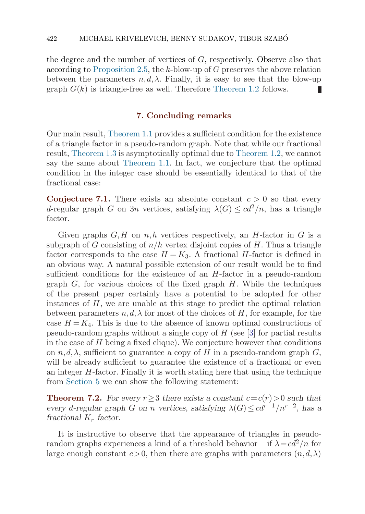<span id="page-19-0"></span>the degree and the number of vertices of G, respectively. Observe also that according to [Proposition 2.5,](#page-5-0) the k-blow-up of  $G$  preserves the above relation between the parameters  $n, d, \lambda$ . Finally, it is easy to see that the blow-up graph  $G(k)$  is triangle-free as well. Therefore [Theorem 1.2](#page-3-0) follows.

## **7. Concluding remarks**

Our main result, [Theorem 1.1](#page-3-0) provides a sufficient condition for the existence of a triangle factor in a pseudo-random graph. Note that while our fractional result, [Theorem 1.3](#page-3-0) is asymptotically optimal due to [Theorem 1.2](#page-3-0), we cannot say the same about [Theorem 1.1](#page-3-0). In fact, we conjecture that the optimal condition in the integer case should be essentially identical to that of the fractional case:

**Conjecture 7.1.** There exists an absolute constant  $c > 0$  so that every d-regular graph G on 3n vertices, satisfying  $\lambda(G) \leq cd^2/n$ , has a triangle factor.

Given graphs  $G, H$  on  $n,h$  vertices respectively, an H-factor in G is a subgraph of G consisting of  $n/h$  vertex disjoint copies of H. Thus a triangle factor corresponds to the case  $H = K_3$ . A fractional H-factor is defined in an obvious way. A natural possible extension of our result would be to find sufficient conditions for the existence of an H-factor in a pseudo-random graph  $G$ , for various choices of the fixed graph  $H$ . While the techniques of the present paper certainly have a potential to be adopted for other instances of  $H$ , we are unable at this stage to predict the optimal relation between parameters  $n, d, \lambda$  for most of the choices of H, for example, for the case  $H = K<sub>4</sub>$ . This is due to the absence of known optimal constructions of pseudo-random graphs without a single copy of  $H$  (see [\[3\]](#page-20-0) for partial results in the case of  $H$  being a fixed clique). We conjecture however that conditions on  $n, d, \lambda$ , sufficient to guarantee a copy of H in a pseudo-random graph G, will be already sufficient to guarantee the existence of a fractional or even an integer H-factor. Finally it is worth stating here that using the technique from [Section 5](#page-14-0) we can show the following statement:

**Theorem 7.2.** For every  $r > 3$  there exists a constant  $c = c(r) > 0$  such that *every* d-regular graph G on n vertices, satisfying  $\lambda(G) \leq c d^{r-1}/n^{r-2}$ , has a *fractional*  $K_r$  *factor.* 

It is instructive to observe that the appearance of triangles in pseudorandom graphs experiences a kind of a threshold behavior – if  $\lambda = cd^2/n$  for large enough constant  $c>0$ , then there are graphs with parameters  $(n, d, \lambda)$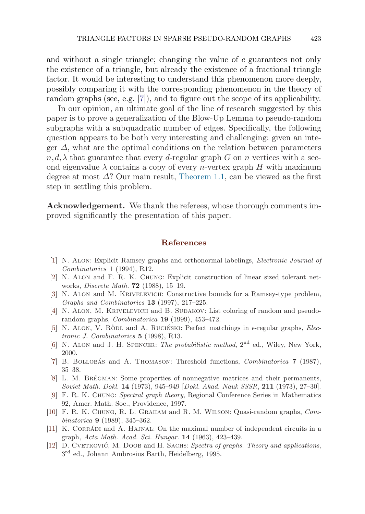<span id="page-20-0"></span>and without a single triangle; changing the value of c guarantees not only the existence of a triangle, but already the existence of a fractional triangle factor. It would be interesting to understand this phenomenon more deeply, possibly comparing it with the corresponding phenomenon in the theory of random graphs (see, e.g. [7]), and to figure out the scope of its applicability.

In our opinion, an ultimate goal of the line of research suggested by this paper is to prove a generalization of the Blow-Up Lemma to pseudo-random subgraphs with a subquadratic number of edges. Specifically, the following question appears to be both very interesting and challenging: given an integer  $\Delta$ , what are the optimal conditions on the relation between parameters  $n, d, \lambda$  that guarantee that every d-regular graph G on n vertices with a second eigenvalue  $\lambda$  contains a copy of every *n*-vertex graph H with maximum degree at most ∆? Our main result, [Theorem 1.1,](#page-3-0) can be viewed as the first step in settling this problem.

**Acknowledgement.** We thank the referees, whose thorough comments improved significantly the presentation of this paper.

#### **References**

- [1] N. Alon: Explicit Ramsey graphs and orthonormal labelings, Electronic Journal of Combinatorics **1** (1994), R12.
- [2] N. Alon and F. R. K. Chung: Explicit construction of linear sized tolerant networks, Discrete Math. **72** (1988), 15–19.
- [3] N. Alon and M. Krivelevich: Constructive bounds for a Ramsey-type problem, Graphs andCombinatorics **13** (1997), 217–225.
- [4] N. ALON, M. KRIVELEVICH and B. SUDAKOV: List coloring of random and pseudorandom graphs, Combinatorica **19** (1999), 453–472.
- [5] N. ALON, V. RÖDL and A. RUCIŃSKI: Perfect matchings in  $\epsilon$ -regular graphs, *Elec*tronic J. Combinatorics **5** (1998), R13.
- [6] N. ALON and J. H. SPENCER: The probabilistic method,  $2<sup>nd</sup>$  ed., Wiley, New York, 2000.
- [7] B. Bollobas´ and A. Thomason: Threshold functions, Combinatorica **7** (1987), 35–38.
- [8] L. M. BRÉGMAN: Some properties of nonnegative matrices and their permanents, Soviet Math. Dokl. **14** (1973), 945–949 [Dokl. Akad. Nauk SSSR, **211** (1973), 27–30].
- [9] F. R. K. Chung: Spectral graph theory, Regional Conference Series in Mathematics 92, Amer. Math. Soc., Providence, 1997.
- [10] F. R. K. Chung, R. L. Graham and R. M. Wilson: Quasi-random graphs, Combinatorica **9** (1989), 345–362.
- [11] K. CORRÁDI and A. HAJNAL: On the maximal number of independent circuits in a graph, Acta Math. Acad. Sci. Hungar. **14** (1963), 423–439.
- [12] D. CVETKOVIĆ, M. DOOB and H. SACHS: Spectra of graphs. Theory and applications, 3rd ed., Johann Ambrosius Barth, Heidelberg, 1995.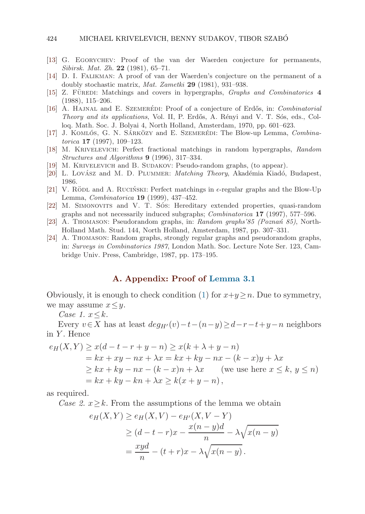#### <span id="page-21-0"></span>424 MICHAEL KRIVELEVICH, BENNY SUDAKOV, TIBOR SZABO´

- [13] G. Egorychev: Proof of the van der Waerden conjecture for permanents, Sibirsk. Mat. Zh. **22** (1981), 65–71.
- [14] D. I. Falikman: A proof of van der Waerden's conjecture on the permanent of a doubly stochastic matrix, Mat. Zametki **29** (1981), 931–938.
- [15] Z. FÜREDI: Matchings and covers in hypergraphs, *Graphs and Combinatorics* 4 (1988), 115–206.
- [16] A. HAJNAL and E. SZEMERÉDI: Proof of a conjecture of Erdős, in: Combinatorial Theory and its applications, Vol. II, P. Erdős, A. Rényi and V. T. Sós, eds., Colloq. Math. Soc. J. Bolyai 4, North Holland, Amsterdam, 1970, pp. 601–623.
- [17] J. KOMLÓS, G. N. SÁRKÖZY and E. SZEMERÉDI: The Blow-up Lemma, Combinatorica **17** (1997), 109–123.
- [18] M. Krivelevich: Perfect fractional matchings in random hypergraphs, Random Structures and Algorithms **9** (1996), 317–334.
- [19] M. KRIVELEVICH and B. SUDAKOV: Pseudo-random graphs, (to appear).
- [20] L. Lovász and M. D. Plummer: *Matching Theory*, Akadémia Kiadó, Budapest, 1986.
- [21] V. RÖDL and A. RUCIŃSKI: Perfect matchings in  $\epsilon$ -regular graphs and the Blow-Up Lemma, Combinatorica **19** (1999), 437–452.
- [22] M. SIMONOVITS and V. T. SÓS: Hereditary extended properties, quasi-random graphs and not necessarily induced subgraphs; Combinatorica **17** (1997), 577–596.
- [23] A. THOMASON: Pseudorandom graphs, in: Random graphs'85 (Poznań 85), North-Holland Math. Stud. 144, North Holland, Amsterdam, 1987, pp. 307–331.
- [24] A. Thomason: Random graphs, strongly regular graphs and pseudorandom graphs, in: Surveys in Combinatorics 1987, London Math. Soc. Lecture Note Ser. 123, Cambridge Univ. Press, Cambridge, 1987, pp. 173–195.

#### **A. Appendix: Proof of [Lemma 3.1](#page-6-0)**

Obviously, it is enough to check condition [\(1\)](#page-6-0) for  $x+y\geq n$ . Due to symmetry, we may assume  $x \leq y$ .

Case 1.  $x \leq k$ .

Every  $v \in X$  has at least  $deg_{H'}(v) - t - (n-y) \geq d-r-t+y-n$  neighbors in  $Y$ . Hence

$$
e_H(X, Y) \ge x(d - t - r + y - n) \ge x(k + \lambda + y - n)
$$
  
=  $kx + xy - nx + \lambda x = kx + ky - nx - (k - x)y + \lambda x$   
 $\ge kx + ky - nx - (k - x)n + \lambda x$  (we use here  $x \le k, y \le n$ )  
=  $kx + ky - kn + \lambda x \ge k(x + y - n)$ ,

as required.

Case 2.  $x \geq k$ . From the assumptions of the lemma we obtain

$$
e_H(X, Y) \ge e_H(X, V) - e_{H'}(X, V - Y)
$$
  
\n
$$
\ge (d - t - r)x - \frac{x(n - y)d}{n} - \lambda \sqrt{x(n - y)}
$$
  
\n
$$
= \frac{xyd}{n} - (t + r)x - \lambda \sqrt{x(n - y)}.
$$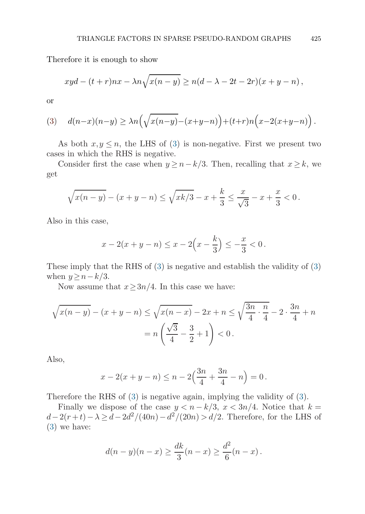<span id="page-22-0"></span>Therefore it is enough to show

$$
xyd - (t+r)nx - \lambda n\sqrt{x(n-y)} \ge n(d-\lambda-2t-2r)(x+y-n),
$$

or

(3) 
$$
d(n-x)(n-y) \geq \lambda n \left( \sqrt{x(n-y)} - (x+y-n) \right) + (t+r)n \left( x - 2(x+y-n) \right).
$$

As both  $x, y \leq n$ , the LHS of (3) is non-negative. First we present two cases in which the RHS is negative.

Consider first the case when  $y \ge n - k/3$ . Then, recalling that  $x \ge k$ , we get

$$
\sqrt{x(n-y)} - (x+y-n) \le \sqrt{xk/3} - x + \frac{k}{3} \le \frac{x}{\sqrt{3}} - x + \frac{x}{3} < 0 \,.
$$

Also in this case,

$$
x - 2(x + y - n) \le x - 2\left(x - \frac{k}{3}\right) \le -\frac{x}{3} < 0.
$$

These imply that the RHS of (3) is negative and establish the validity of (3) when  $y \geq n-k/3$ .

Now assume that  $x \geq 3n/4$ . In this case we have:

$$
\sqrt{x(n-y)} - (x+y-n) \le \sqrt{x(n-x)} - 2x + n \le \sqrt{\frac{3n}{4} \cdot \frac{n}{4}} - 2 \cdot \frac{3n}{4} + n
$$

$$
= n \left( \frac{\sqrt{3}}{4} - \frac{3}{2} + 1 \right) < 0.
$$

Also,

$$
x - 2(x + y - n) \le n - 2\left(\frac{3n}{4} + \frac{3n}{4} - n\right) = 0.
$$

Therefore the RHS of (3) is negative again, implying the validity of (3).

Finally we dispose of the case  $y < n - k/3$ ,  $x < 3n/4$ . Notice that  $k =$  $d-2(r+t)-\lambda \geq d-2d^2/(40n)-d^2/(20n) > d/2$ . Therefore, for the LHS of (3) we have:

$$
d(n - y)(n - x) \ge \frac{dk}{3}(n - x) \ge \frac{d^2}{6}(n - x).
$$